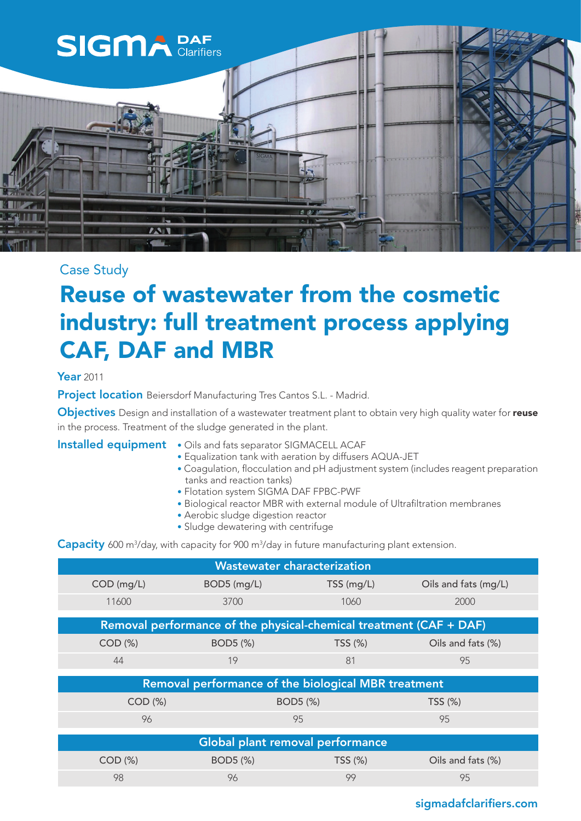

## Case Study

## Reuse of wastewater from the cosmetic industry: full treatment process applying CAF, DAF and MBR

#### Year 2011

Project location Beiersdorf Manufacturing Tres Cantos S.L. - Madrid.

Objectives Design and installation of a wastewater treatment plant to obtain very high quality water for reuse in the process. Treatment of the sludge generated in the plant.

#### Installed equipment • Oils and fats separator SIGMACELL ACAF

- Equalization tank with aeration by diffusers AQUA-JET
- Coagulation, flocculation and pH adjustment system (includes reagent preparation tanks and reaction tanks)
- Flotation system SIGMA DAF FPBC-PWF
- Biological reactor MBR with external module of Ultrafiltration membranes
- Aerobic sludge digestion reactor
- Sludge dewatering with centrifuge

Capacity 600 m<sup>3</sup>/day, with capacity for 900 m<sup>3</sup>/day in future manufacturing plant extension.

| <b>Wastewater characterization</b>                                 |             |              |                      |
|--------------------------------------------------------------------|-------------|--------------|----------------------|
| COD (mg/L)                                                         | BOD5 (mg/L) | $TSS$ (mg/L) | Oils and fats (mg/L) |
| 11600                                                              | 3700        | 1060         | 2000                 |
| Removal performance of the physical-chemical treatment (CAF + DAF) |             |              |                      |
| $COD (\%)$                                                         | BOD5 (%)    | TSS (%)      | Oils and fats (%)    |
| 44                                                                 | 19          | 81           | 95                   |
| Removal performance of the biological MBR treatment                |             |              |                      |
| COD (%)                                                            |             | BOD5 (%)     | TSS(%)               |
| 96                                                                 |             | 95           | 95                   |
| Global plant removal performance                                   |             |              |                      |
| $COD (\%)$                                                         | BOD5 (%)    | TSS(%)       | Oils and fats (%)    |
| 98                                                                 | 96          | 99           | 95                   |

### sigmadafclarifiers.com